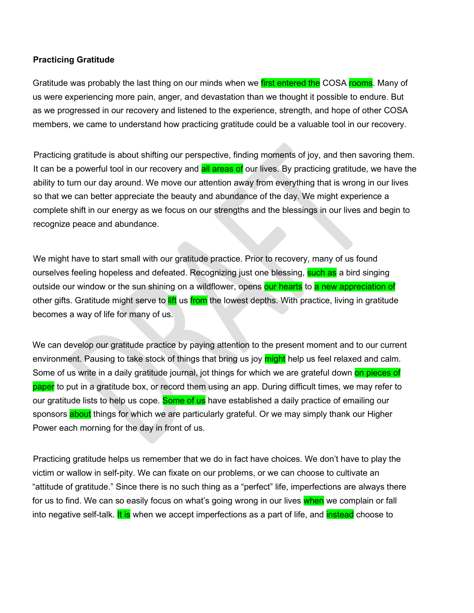## **Practicing Gratitude**

Gratitude was probably the last thing on our minds when we first entered the COSA rooms. Many of us were experiencing more pain, anger, and devastation than we thought it possible to endure. But as we progressed in our recovery and listened to the experience, strength, and hope of other COSA members, we came to understand how practicing gratitude could be a valuable tool in our recovery.

Practicing gratitude is about shifting our perspective, finding moments of joy, and then savoring them. It can be a powerful tool in our recovery and **all areas of** our lives. By practicing gratitude, we have the ability to turn our day around. We move our attention away from everything that is wrong in our lives so that we can better appreciate the beauty and abundance of the day. We might experience a complete shift in our energy as we focus on our strengths and the blessings in our lives and begin to recognize peace and abundance.

We might have to start small with our gratitude practice. Prior to recovery, many of us found ourselves feeling hopeless and defeated. Recognizing just one blessing, such as a bird singing outside our window or the sun shining on a wildflower, opens our hearts to a new appreciation of other gifts. Gratitude might serve to lift us from the lowest depths. With practice, living in gratitude becomes a way of life for many of us.

We can develop our gratitude practice by paying attention to the present moment and to our current environment. Pausing to take stock of things that bring us joy might help us feel relaxed and calm. Some of us write in a daily gratitude journal, jot things for which we are grateful down on pieces of paper to put in a gratitude box, or record them using an app. During difficult times, we may refer to our gratitude lists to help us cope. Some of us have established a daily practice of emailing our sponsors about things for which we are particularly grateful. Or we may simply thank our Higher Power each morning for the day in front of us.

Practicing gratitude helps us remember that we do in fact have choices. We don't have to play the victim or wallow in self-pity. We can fixate on our problems, or we can choose to cultivate an "attitude of gratitude." Since there is no such thing as a "perfect" life, imperfections are always there for us to find. We can so easily focus on what's going wrong in our lives when we complain or fall into negative self-talk. It is when we accept imperfections as a part of life, and instead choose to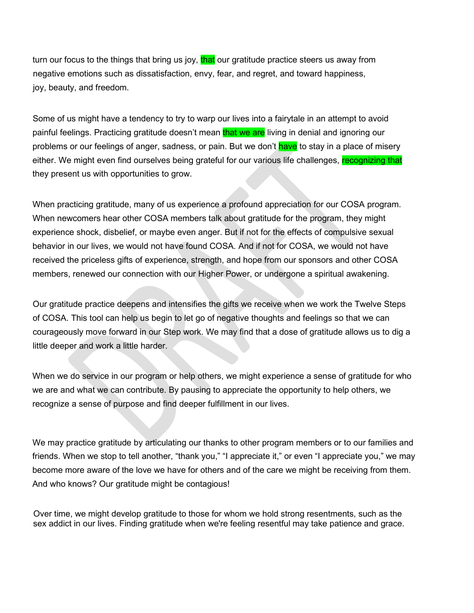turn our focus to the things that bring us joy, that our gratitude practice steers us away from negative emotions such as dissatisfaction, envy, fear, and regret, and toward happiness, joy, beauty, and freedom.

Some of us might have a tendency to try to warp our lives into a fairytale in an attempt to avoid painful feelings. Practicing gratitude doesn't mean that we are living in denial and ignoring our problems or our feelings of anger, sadness, or pain. But we don't have to stay in a place of misery either. We might even find ourselves being grateful for our various life challenges, recognizing that they present us with opportunities to grow.

When practicing gratitude, many of us experience a profound appreciation for our COSA program. When newcomers hear other COSA members talk about gratitude for the program, they might experience shock, disbelief, or maybe even anger. But if not for the effects of compulsive sexual behavior in our lives, we would not have found COSA. And if not for COSA, we would not have received the priceless gifts of experience, strength, and hope from our sponsors and other COSA members, renewed our connection with our Higher Power, or undergone a spiritual awakening.

Our gratitude practice deepens and intensifies the gifts we receive when we work the Twelve Steps of COSA. This tool can help us begin to let go of negative thoughts and feelings so that we can courageously move forward in our Step work. We may find that a dose of gratitude allows us to dig a little deeper and work a little harder.

When we do service in our program or help others, we might experience a sense of gratitude for who we are and what we can contribute. By pausing to appreciate the opportunity to help others, we recognize a sense of purpose and find deeper fulfillment in our lives.

We may practice gratitude by articulating our thanks to other program members or to our families and friends. When we stop to tell another, "thank you," "I appreciate it," or even "I appreciate you," we may become more aware of the love we have for others and of the care we might be receiving from them. And who knows? Our gratitude might be contagious!

Over time, we might develop gratitude to those for whom we hold strong resentments, such as the sex addict in our lives. Finding gratitude when we're feeling resentful may take patience and grace.